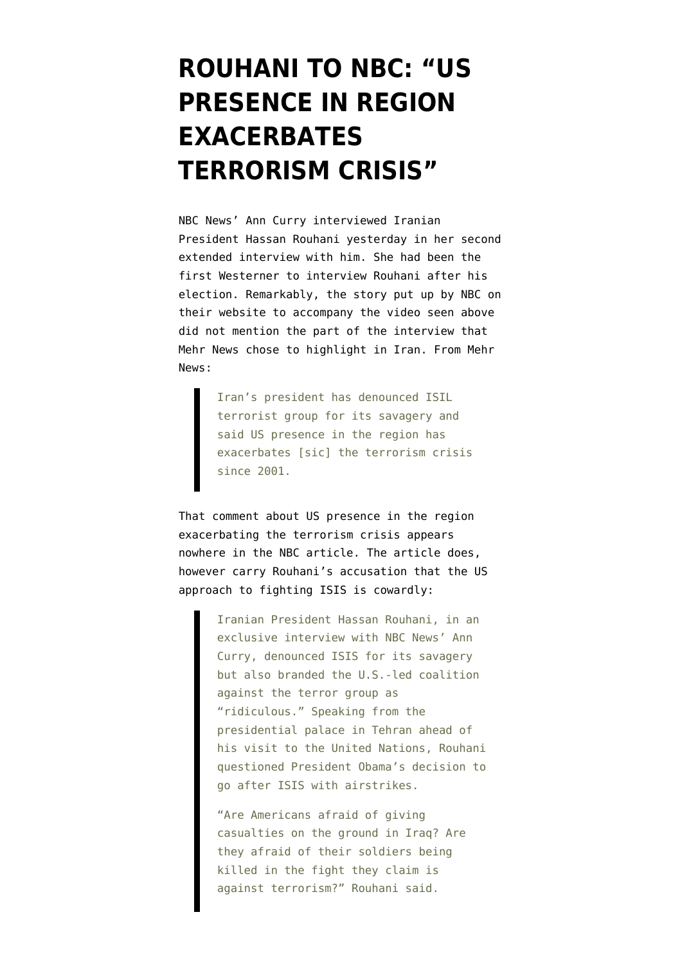## **[ROUHANI TO NBC: "US](https://www.emptywheel.net/2014/09/18/rouhani-to-nbc-us-presence-in-region-exacerbates-terrorism-crisis/) [PRESENCE IN REGION](https://www.emptywheel.net/2014/09/18/rouhani-to-nbc-us-presence-in-region-exacerbates-terrorism-crisis/) [EXACERBATES](https://www.emptywheel.net/2014/09/18/rouhani-to-nbc-us-presence-in-region-exacerbates-terrorism-crisis/) [TERRORISM CRISIS"](https://www.emptywheel.net/2014/09/18/rouhani-to-nbc-us-presence-in-region-exacerbates-terrorism-crisis/)**

NBC News' Ann Curry interviewed Iranian President Hassan Rouhani yesterday in her second extended interview with him. She had been the first Westerner to [interview Rouhani after his](http://www.nbcnews.com/video/ann-curry-reports/53069190#53069190) [election.](http://www.nbcnews.com/video/ann-curry-reports/53069190#53069190) Remarkably, the [story put up by NBC](http://www.nbcnews.com/storyline/isis-terror/irans-rouhani-blasts-isis-ridiculous-u-s-led-coalition-n205496) on their website to accompany the video seen above did not mention the part of the interview that [Mehr News](http://en.mehrnews.com/detail/News/104041) chose to highlight in Iran. From Mehr News:

> Iran's president has denounced ISIL terrorist group for its savagery and said US presence in the region has exacerbates [sic] the terrorism crisis since 2001.

That comment about US presence in the region exacerbating the terrorism crisis appears nowhere in the NBC article. The article does, however carry Rouhani's accusation that the US approach to fighting ISIS is cowardly:

> Iranian President Hassan Rouhani, in an exclusive interview with NBC News' Ann Curry, denounced ISIS for its savagery but also branded the U.S.-led coalition against the terror group as "ridiculous." Speaking from the presidential palace in Tehran ahead of his visit to the United Nations, Rouhani questioned President Obama's decision to go after ISIS with airstrikes.

"Are Americans afraid of giving casualties on the ground in Iraq? Are they afraid of their soldiers being killed in the fight they claim is against terrorism?" Rouhani said.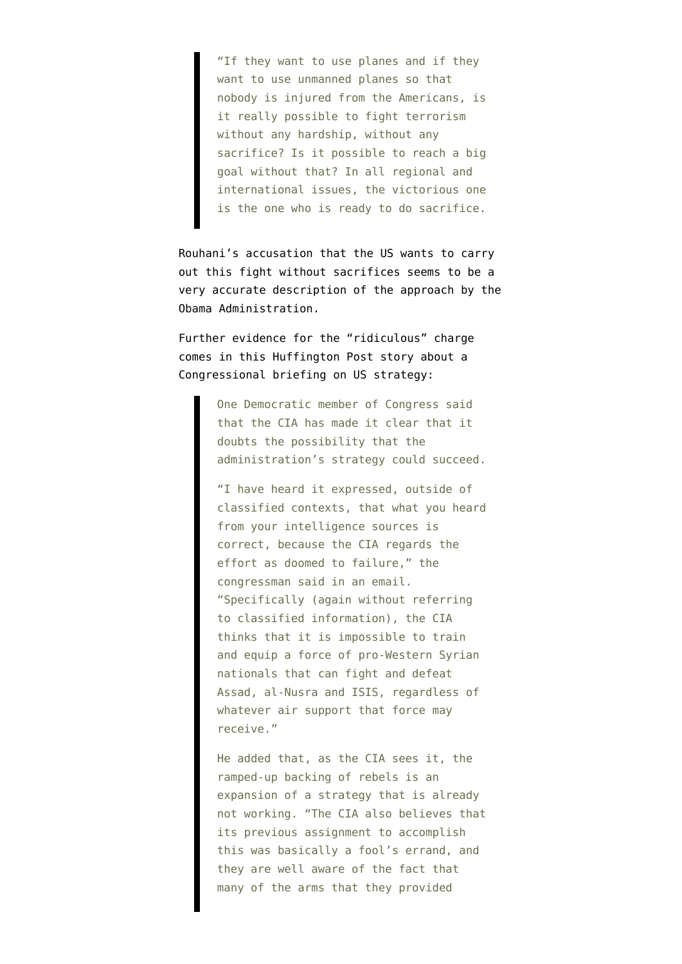"If they want to use planes and if they want to use unmanned planes so that nobody is injured from the Americans, is it really possible to fight terrorism without any hardship, without any sacrifice? Is it possible to reach a big goal without that? In all regional and international issues, the victorious one is the one who is ready to do sacrifice.

Rouhani's accusation that the US wants to carry out this fight without sacrifices seems to be a very accurate description of the approach by the Obama Administration.

Further evidence for the "ridiculous" charge comes in [this Huffington Post story](http://www.huffingtonpost.com/2014/09/17/cia-syria_n_5834850.html) about a Congressional briefing on US strategy:

> One Democratic member of Congress said that the CIA has made it clear that it doubts the possibility that the administration's strategy could succeed.

> "I have heard it expressed, outside of classified contexts, that what you heard from your intelligence sources is correct, because the CIA regards the effort as doomed to failure," the congressman said in an email. "Specifically (again without referring to classified information), the CIA thinks that it is impossible to train and equip a force of pro-Western Syrian nationals that can fight and defeat Assad, al-Nusra and ISIS, regardless of whatever air support that force may receive."

> He added that, as the CIA sees it, the ramped-up backing of rebels is an expansion of a strategy that is already not working. "The CIA also believes that its previous assignment to accomplish this was basically a fool's errand, and they are well aware of the fact that many of the arms that they provided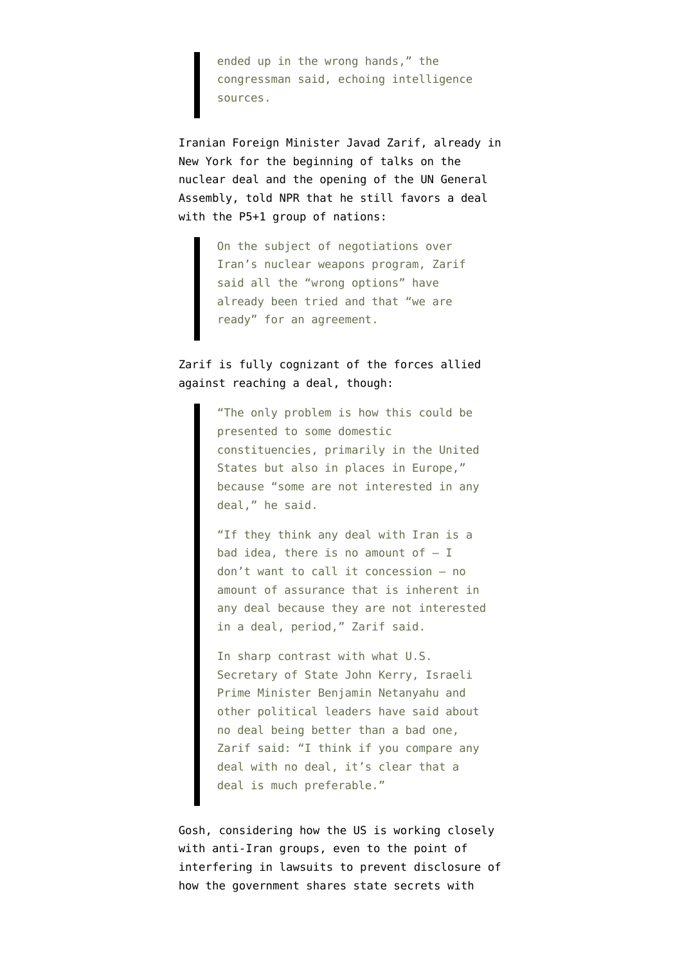ended up in the wrong hands," the congressman said, echoing intelligence sources.

Iranian Foreign Minister Javad Zarif, already in New York for the beginning of talks on the nuclear deal and the opening of the UN General Assembly, [told NPR](http://www.npr.org/blogs/thetwo-way/2014/09/17/349275201/irans-foreign-minister-u-s-not-serious-about-defeating-islamic-state) that he still favors a deal with the P5+1 group of nations:

> On the subject of negotiations over Iran's nuclear weapons program, Zarif said all the "wrong options" have already been tried and that "we are ready" for an agreement.

## Zarif is fully cognizant of the forces allied against reaching a deal, though:

"The only problem is how this could be presented to some domestic constituencies, primarily in the United States but also in places in Europe," because "some are not interested in any deal," he said.

"If they think any deal with Iran is a bad idea, there is no amount of  $- I$ don't want to call it concession — no amount of assurance that is inherent in any deal because they are not interested in a deal, period," Zarif said.

In sharp contrast with what U.S. Secretary of State John Kerry, Israeli Prime Minister Benjamin Netanyahu and other political leaders have said about no deal being better than a bad one, Zarif said: "I think if you compare any deal with no deal, it's clear that a deal is much preferable."

Gosh, considering how the [US is working closely](https://www.emptywheel.net/2014/09/04/final-push-for-p51-deal-begins-against-backdrop-of-us-working-with-anti-iran-groups/) [with anti-Iran groups](https://www.emptywheel.net/2014/09/04/final-push-for-p51-deal-begins-against-backdrop-of-us-working-with-anti-iran-groups/), even to the point of interfering in lawsuits to prevent disclosure of how the [government shares state secrets with](http://www.emptywheel.net/2014/09/17/what-state-secrets-does-uani-have-how-did-they-get-them/)